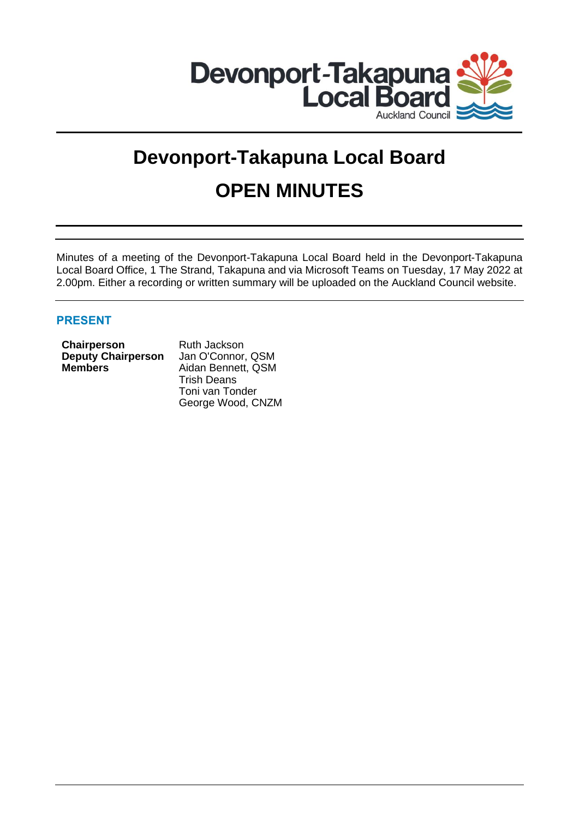

# **Devonport-Takapuna Local Board OPEN MINUTES**

Minutes of a meeting of the Devonport-Takapuna Local Board held in the Devonport-Takapuna Local Board Office, 1 The Strand, Takapuna and via Microsoft Teams on Tuesday, 17 May 2022 at 2.00pm. Either a recording or written summary will be uploaded on the Auckland Council website.

# **PRESENT**

| Chairperson               |  |
|---------------------------|--|
| <b>Deputy Chairperson</b> |  |
| <b>Members</b>            |  |

**Chairperson** Ruth Jackson Jan O'Connor, QSM **Members** Aidan Bennett, QSM Trish Deans Toni van Tonder George Wood, CNZM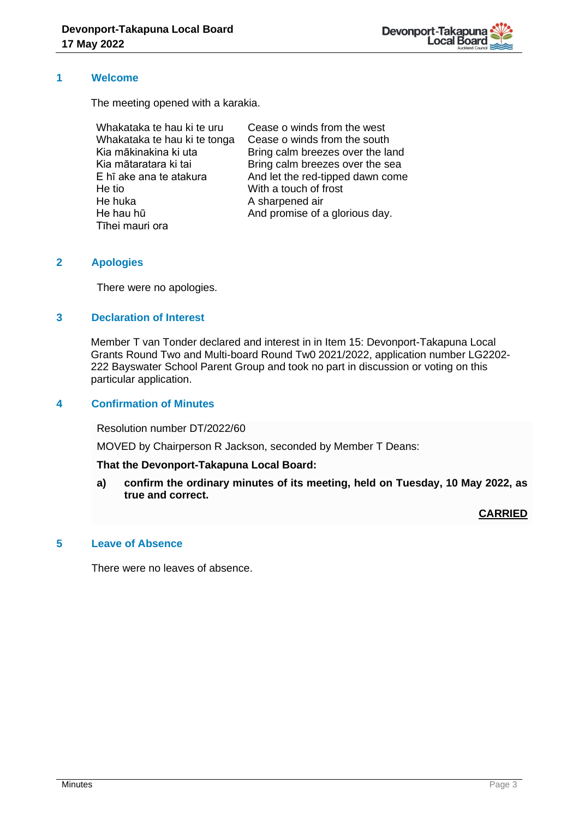

#### **1 Welcome**

The meeting opened with a karakia.

| Whakataka te hau ki te uru   | Cease o winds from the west      |
|------------------------------|----------------------------------|
| Whakataka te hau ki te tonga | Cease o winds from the south     |
| Kia mākinakina ki uta        | Bring calm breezes over the land |
| Kia mātaratara ki tai        | Bring calm breezes over the sea  |
| E hī ake ana te atakura      | And let the red-tipped dawn come |
| He tio                       | With a touch of frost            |
| He huka                      | A sharpened air                  |
| He hau hū                    | And promise of a glorious day.   |
| Tīhei mauri ora              |                                  |

# **2 Apologies**

There were no apologies.

# **3 Declaration of Interest**

Member T van Tonder declared and interest in in Item 15: Devonport-Takapuna Local Grants Round Two and Multi-board Round Tw0 2021/2022, application number LG2202- 222 Bayswater School Parent Group and took no part in discussion or voting on this particular application.

#### **4 Confirmation of Minutes**

Resolution number DT/2022/60

MOVED by Chairperson R Jackson, seconded by Member T Deans:

#### **That the Devonport-Takapuna Local Board:**

**a) confirm the ordinary minutes of its meeting, held on Tuesday, 10 May 2022, as true and correct.**

**CARRIED**

# **5 Leave of Absence**

There were no leaves of absence.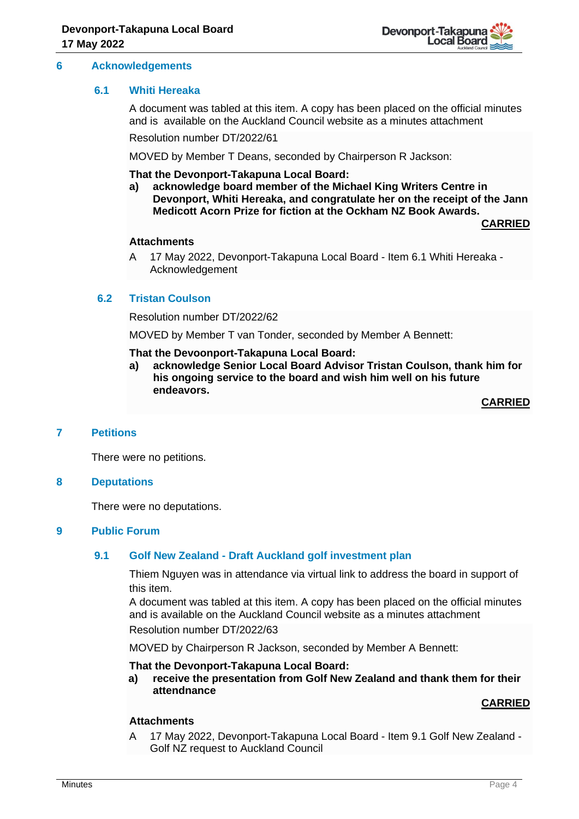

#### **6 Acknowledgements**

#### **6.1 Whiti Hereaka**

A document was tabled at this item. A copy has been placed on the official minutes and is available on the Auckland Council website as a minutes attachment

Resolution number DT/2022/61

MOVED by Member T Deans, seconded by Chairperson R Jackson:

#### **That the Devonport-Takapuna Local Board:**

**a) acknowledge board member of the Michael King Writers Centre in Devonport, Whiti Hereaka, and congratulate her on the receipt of the Jann Medicott Acorn Prize for fiction at the Ockham NZ Book Awards.**

**CARRIED**

#### **Attachments**

A 17 May 2022, Devonport-Takapuna Local Board - Item 6.1 Whiti Hereaka - Acknowledgement

#### **6.2 Tristan Coulson**

Resolution number DT/2022/62

MOVED by Member T van Tonder, seconded by Member A Bennett:

#### **That the Devoonport-Takapuna Local Board:**

**a) acknowledge Senior Local Board Advisor Tristan Coulson, thank him for his ongoing service to the board and wish him well on his future endeavors.**

**CARRIED**

### **7 Petitions**

There were no petitions.

#### **8 Deputations**

There were no deputations.

#### **9 Public Forum**

#### **9.1 Golf New Zealand - Draft Auckland golf investment plan**

Thiem Nguyen was in attendance via virtual link to address the board in support of this item.

A document was tabled at this item. A copy has been placed on the official minutes and is available on the Auckland Council website as a minutes attachment Resolution number DT/2022/63

MOVED by Chairperson R Jackson, seconded by Member A Bennett:

#### **That the Devonport-Takapuna Local Board:**

**a) receive the presentation from Golf New Zealand and thank them for their attendnance** 

# **CARRIED**

#### **Attachments**

A 17 May 2022, Devonport-Takapuna Local Board - Item 9.1 Golf New Zealand - Golf NZ request to Auckland Council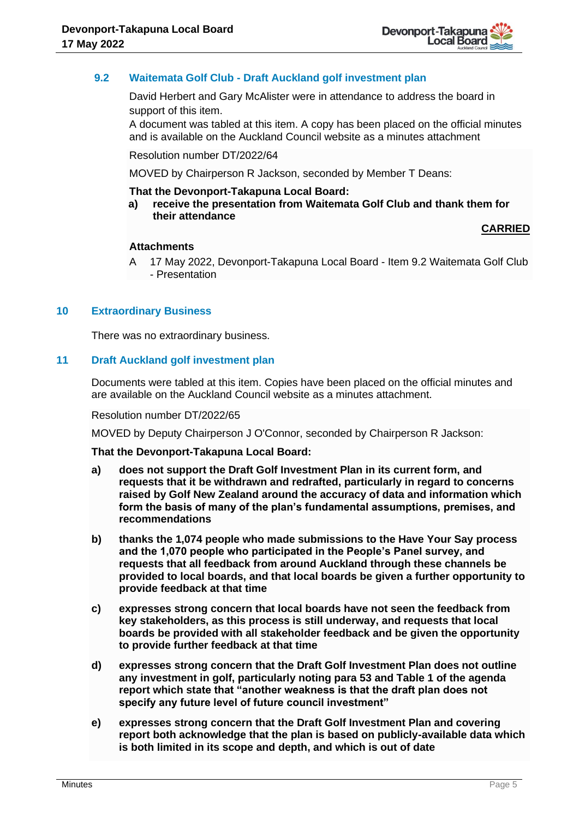

# **9.2 Waitemata Golf Club - Draft Auckland golf investment plan**

David Herbert and Gary McAlister were in attendance to address the board in support of this item.

A document was tabled at this item. A copy has been placed on the official minutes and is available on the Auckland Council website as a minutes attachment

Resolution number DT/2022/64

MOVED by Chairperson R Jackson, seconded by Member T Deans:

#### **That the Devonport-Takapuna Local Board:**

**a) receive the presentation from Waitemata Golf Club and thank them for their attendance** 

**CARRIED**

#### **Attachments**

A 17 May 2022, Devonport-Takapuna Local Board - Item 9.2 Waitemata Golf Club - Presentation

#### **10 Extraordinary Business**

There was no extraordinary business.

#### **11 Draft Auckland golf investment plan**

Documents were tabled at this item. Copies have been placed on the official minutes and are available on the Auckland Council website as a minutes attachment.

#### Resolution number DT/2022/65

MOVED by Deputy Chairperson J O'Connor, seconded by Chairperson R Jackson:

#### **That the Devonport-Takapuna Local Board:**

- **a) does not support the Draft Golf Investment Plan in its current form, and requests that it be withdrawn and redrafted, particularly in regard to concerns raised by Golf New Zealand around the accuracy of data and information which form the basis of many of the plan's fundamental assumptions, premises, and recommendations**
- **b) thanks the 1,074 people who made submissions to the Have Your Say process and the 1,070 people who participated in the People's Panel survey, and requests that all feedback from around Auckland through these channels be provided to local boards, and that local boards be given a further opportunity to provide feedback at that time**
- **c) expresses strong concern that local boards have not seen the feedback from key stakeholders, as this process is still underway, and requests that local boards be provided with all stakeholder feedback and be given the opportunity to provide further feedback at that time**
- **d) expresses strong concern that the Draft Golf Investment Plan does not outline any investment in golf, particularly noting para 53 and Table 1 of the agenda report which state that "another weakness is that the draft plan does not specify any future level of future council investment"**
- **e) expresses strong concern that the Draft Golf Investment Plan and covering report both acknowledge that the plan is based on publicly-available data which is both limited in its scope and depth, and which is out of date**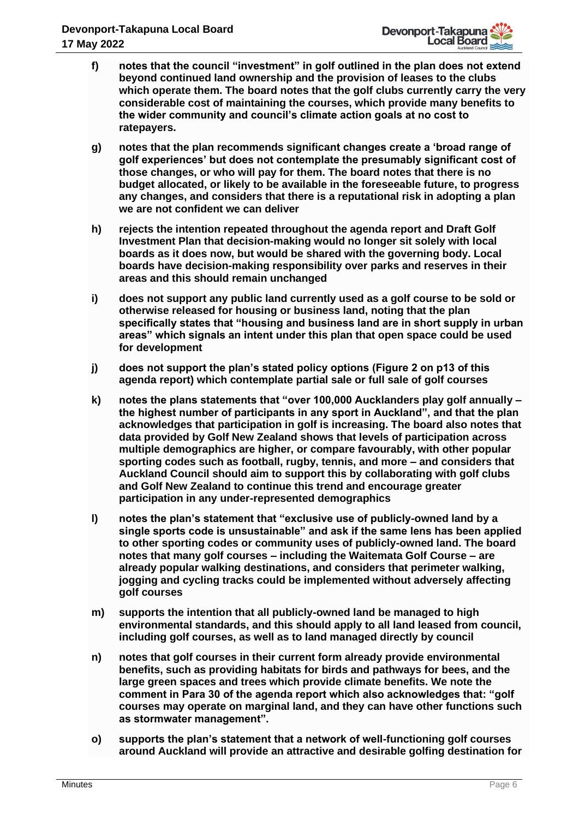- **f) notes that the council "investment" in golf outlined in the plan does not extend beyond continued land ownership and the provision of leases to the clubs which operate them. The board notes that the golf clubs currently carry the very considerable cost of maintaining the courses, which provide many benefits to the wider community and council's climate action goals at no cost to ratepayers.**
- **g) notes that the plan recommends significant changes create a 'broad range of golf experiences' but does not contemplate the presumably significant cost of those changes, or who will pay for them. The board notes that there is no budget allocated, or likely to be available in the foreseeable future, to progress any changes, and considers that there is a reputational risk in adopting a plan we are not confident we can deliver**
- **h) rejects the intention repeated throughout the agenda report and Draft Golf Investment Plan that decision-making would no longer sit solely with local boards as it does now, but would be shared with the governing body. Local boards have decision-making responsibility over parks and reserves in their areas and this should remain unchanged**
- **i) does not support any public land currently used as a golf course to be sold or otherwise released for housing or business land, noting that the plan specifically states that "housing and business land are in short supply in urban areas" which signals an intent under this plan that open space could be used for development**
- **j) does not support the plan's stated policy options (Figure 2 on p13 of this agenda report) which contemplate partial sale or full sale of golf courses**
- **k) notes the plans statements that "over 100,000 Aucklanders play golf annually – the highest number of participants in any sport in Auckland", and that the plan acknowledges that participation in golf is increasing. The board also notes that data provided by Golf New Zealand shows that levels of participation across multiple demographics are higher, or compare favourably, with other popular sporting codes such as football, rugby, tennis, and more – and considers that Auckland Council should aim to support this by collaborating with golf clubs and Golf New Zealand to continue this trend and encourage greater participation in any under-represented demographics**
- **l) notes the plan's statement that "exclusive use of publicly-owned land by a single sports code is unsustainable" and ask if the same lens has been applied to other sporting codes or community uses of publicly-owned land. The board notes that many golf courses – including the Waitemata Golf Course – are already popular walking destinations, and considers that perimeter walking, jogging and cycling tracks could be implemented without adversely affecting golf courses**
- **m) supports the intention that all publicly-owned land be managed to high environmental standards, and this should apply to all land leased from council, including golf courses, as well as to land managed directly by council**
- **n) notes that golf courses in their current form already provide environmental benefits, such as providing habitats for birds and pathways for bees, and the large green spaces and trees which provide climate benefits. We note the comment in Para 30 of the agenda report which also acknowledges that: "golf courses may operate on marginal land, and they can have other functions such as stormwater management".**
- **o) supports the plan's statement that a network of well-functioning golf courses around Auckland will provide an attractive and desirable golfing destination for**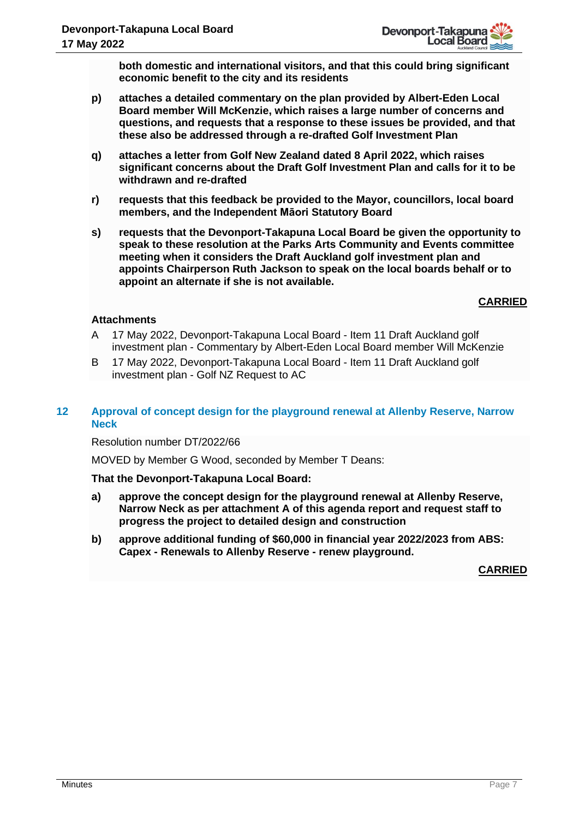

**both domestic and international visitors, and that this could bring significant economic benefit to the city and its residents**

- **p) attaches a detailed commentary on the plan provided by Albert-Eden Local Board member Will McKenzie, which raises a large number of concerns and questions, and requests that a response to these issues be provided, and that these also be addressed through a re-drafted Golf Investment Plan**
- **q) attaches a letter from Golf New Zealand dated 8 April 2022, which raises significant concerns about the Draft Golf Investment Plan and calls for it to be withdrawn and re-drafted**
- **r) requests that this feedback be provided to the Mayor, councillors, local board members, and the Independent Māori Statutory Board**
- **s) requests that the Devonport-Takapuna Local Board be given the opportunity to speak to these resolution at the Parks Arts Community and Events committee meeting when it considers the Draft Auckland golf investment plan and appoints Chairperson Ruth Jackson to speak on the local boards behalf or to appoint an alternate if she is not available.**

# **CARRIED**

# **Attachments**

- A 17 May 2022, Devonport-Takapuna Local Board Item 11 Draft Auckland golf investment plan - Commentary by Albert-Eden Local Board member Will McKenzie
- B 17 May 2022, Devonport-Takapuna Local Board Item 11 Draft Auckland golf investment plan - Golf NZ Request to AC

# **12 Approval of concept design for the playground renewal at Allenby Reserve, Narrow Neck**

#### Resolution number DT/2022/66

MOVED by Member G Wood, seconded by Member T Deans:

#### **That the Devonport-Takapuna Local Board:**

- **a) approve the concept design for the playground renewal at Allenby Reserve, Narrow Neck as per attachment A of this agenda report and request staff to progress the project to detailed design and construction**
- **b) approve additional funding of \$60,000 in financial year 2022/2023 from ABS: Capex - Renewals to Allenby Reserve - renew playground.**

**CARRIED**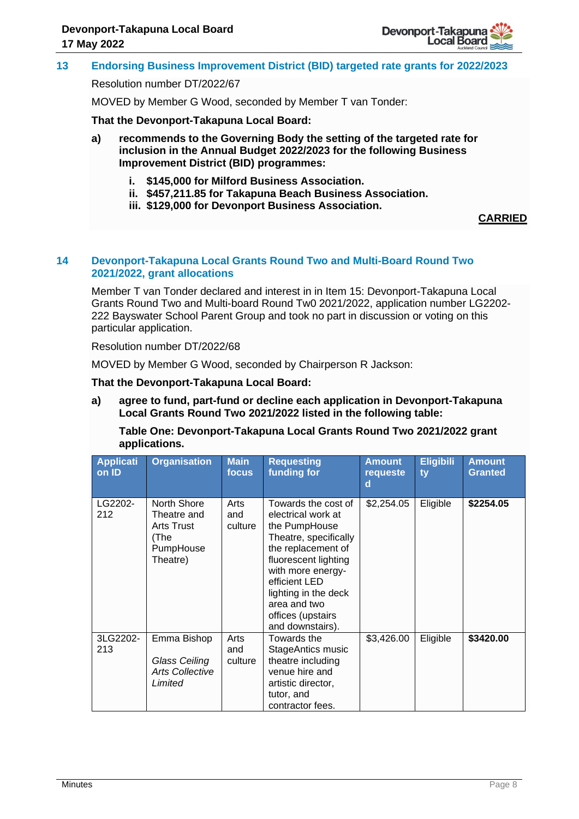

# **13 Endorsing Business Improvement District (BID) targeted rate grants for 2022/2023**

#### Resolution number DT/2022/67

MOVED by Member G Wood, seconded by Member T van Tonder:

**That the Devonport-Takapuna Local Board:**

- **a) recommends to the Governing Body the setting of the targeted rate for inclusion in the Annual Budget 2022/2023 for the following Business Improvement District (BID) programmes:**
	- **i. \$145,000 for Milford Business Association.**
	- **ii. \$457,211.85 for Takapuna Beach Business Association.**
	- **iii. \$129,000 for Devonport Business Association.**

#### **CARRIED**

#### **14 Devonport-Takapuna Local Grants Round Two and Multi-Board Round Two 2021/2022, grant allocations**

Member T van Tonder declared and interest in in Item 15: Devonport-Takapuna Local Grants Round Two and Multi-board Round Tw0 2021/2022, application number LG2202- 222 Bayswater School Parent Group and took no part in discussion or voting on this particular application.

Resolution number DT/2022/68

MOVED by Member G Wood, seconded by Chairperson R Jackson:

**That the Devonport-Takapuna Local Board:**

**a) agree to fund, part-fund or decline each application in Devonport-Takapuna Local Grants Round Two 2021/2022 listed in the following table:** 

**Table One: Devonport-Takapuna Local Grants Round Two 2021/2022 grant applications.**

| <b>Applicati</b><br>on ID | <b>Organisation</b>                                                       | <b>Main</b><br>focus   | <b>Requesting</b><br>funding for                                                                                                                                                                                                                         | <b>Amount</b><br>requeste<br>d | <b>Eligibili</b><br>ty | <b>Amount</b><br><b>Granted</b> |
|---------------------------|---------------------------------------------------------------------------|------------------------|----------------------------------------------------------------------------------------------------------------------------------------------------------------------------------------------------------------------------------------------------------|--------------------------------|------------------------|---------------------------------|
| LG2202-<br>212            | North Shore<br>Theatre and<br>Arts Trust<br>(The<br>PumpHouse<br>Theatre) | Arts<br>and<br>culture | Towards the cost of<br>electrical work at<br>the PumpHouse<br>Theatre, specifically<br>the replacement of<br>fluorescent lighting<br>with more energy-<br>efficient LED<br>lighting in the deck<br>area and two<br>offices (upstairs<br>and downstairs). | \$2,254.05                     | Eligible               | \$2254.05                       |
| 3LG2202-<br>213           | Emma Bishop<br>Glass Ceiling<br><b>Arts Collective</b><br>Limited         | Arts<br>and<br>culture | Towards the<br>StageAntics music<br>theatre including<br>venue hire and<br>artistic director,<br>tutor, and<br>contractor fees.                                                                                                                          | \$3,426.00                     | Eligible               | \$3420.00                       |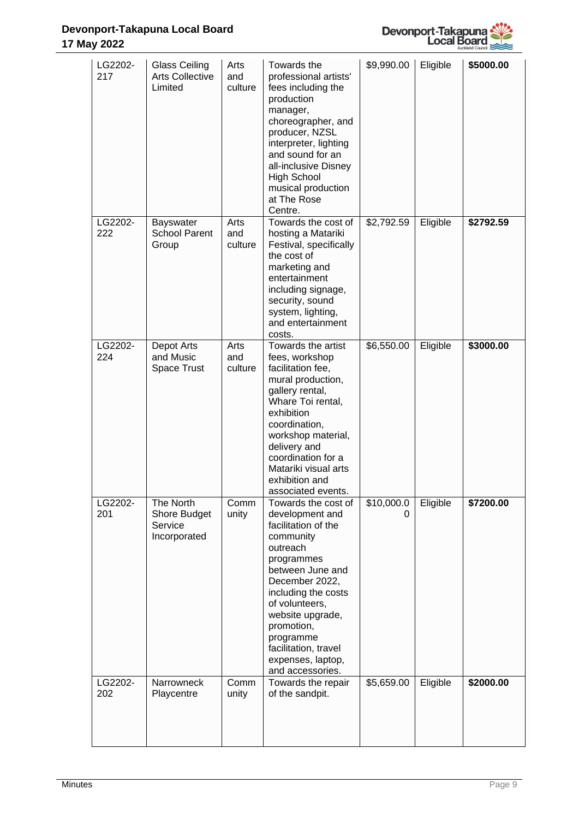# **Devonport-Takapuna Local Board 17 May 2022**



| LG2202-<br>217 | <b>Glass Ceiling</b><br><b>Arts Collective</b><br>Limited | Arts<br>and<br>culture | Towards the<br>professional artists'<br>fees including the<br>production<br>manager,<br>choreographer, and<br>producer, NZSL<br>interpreter, lighting<br>and sound for an<br>all-inclusive Disney<br><b>High School</b><br>musical production<br>at The Rose<br>Centre.                             | \$9,990.00      | Eligible | \$5000.00 |
|----------------|-----------------------------------------------------------|------------------------|-----------------------------------------------------------------------------------------------------------------------------------------------------------------------------------------------------------------------------------------------------------------------------------------------------|-----------------|----------|-----------|
| LG2202-<br>222 | <b>Bayswater</b><br><b>School Parent</b><br>Group         | Arts<br>and<br>culture | Towards the cost of<br>hosting a Matariki<br>Festival, specifically<br>the cost of<br>marketing and<br>entertainment<br>including signage,<br>security, sound<br>system, lighting,<br>and entertainment<br>costs.                                                                                   | \$2,792.59      | Eligible | \$2792.59 |
| LG2202-<br>224 | Depot Arts<br>and Music<br>Space Trust                    | Arts<br>and<br>culture | Towards the artist<br>fees, workshop<br>facilitation fee,<br>mural production,<br>gallery rental,<br>Whare Toi rental,<br>exhibition<br>coordination,<br>workshop material,<br>delivery and<br>coordination for a<br>Matariki visual arts<br>exhibition and<br>associated events.                   | \$6,550.00      | Eligible | \$3000.00 |
| LG2202-<br>201 | The North<br>Shore Budget<br>Service<br>Incorporated      | Comm<br>unity          | Towards the cost of<br>development and<br>facilitation of the<br>community<br>outreach<br>programmes<br>between June and<br>December 2022,<br>including the costs<br>of volunteers,<br>website upgrade,<br>promotion,<br>programme<br>facilitation, travel<br>expenses, laptop,<br>and accessories. | \$10,000.0<br>0 | Eligible | \$7200.00 |
| LG2202-<br>202 | Narrowneck<br>Playcentre                                  | Comm<br>unity          | Towards the repair<br>of the sandpit.                                                                                                                                                                                                                                                               | \$5,659.00      | Eligible | \$2000.00 |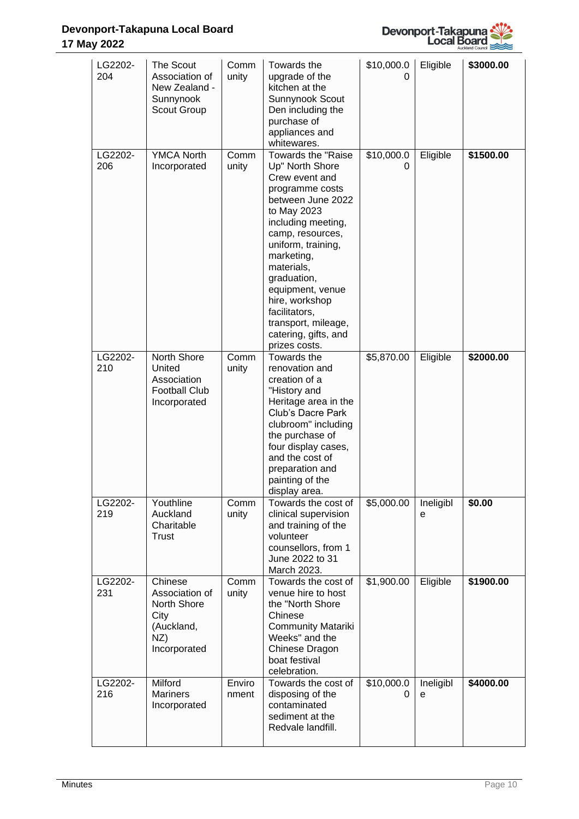

| LG2202-<br>204 | The Scout<br>Association of<br>New Zealand -<br>Sunnynook<br>Scout Group              | Comm<br>unity   | Towards the<br>upgrade of the<br>kitchen at the<br>Sunnynook Scout<br>Den including the<br>purchase of<br>appliances and<br>whitewares.                                                                                                                                                                                                          | \$10,000.0<br>0 | Eligible       | \$3000.00 |
|----------------|---------------------------------------------------------------------------------------|-----------------|--------------------------------------------------------------------------------------------------------------------------------------------------------------------------------------------------------------------------------------------------------------------------------------------------------------------------------------------------|-----------------|----------------|-----------|
| LG2202-<br>206 | <b>YMCA North</b><br>Incorporated                                                     | Comm<br>unity   | Towards the "Raise<br>Up" North Shore<br>Crew event and<br>programme costs<br>between June 2022<br>to May 2023<br>including meeting,<br>camp, resources,<br>uniform, training,<br>marketing,<br>materials,<br>graduation,<br>equipment, venue<br>hire, workshop<br>facilitators,<br>transport, mileage,<br>catering, gifts, and<br>prizes costs. | \$10,000.0<br>0 | Eligible       | \$1500.00 |
| LG2202-<br>210 | North Shore<br>United<br>Association<br><b>Football Club</b><br>Incorporated          | Comm<br>unity   | Towards the<br>renovation and<br>creation of a<br>"History and<br>Heritage area in the<br>Club's Dacre Park<br>clubroom" including<br>the purchase of<br>four display cases,<br>and the cost of<br>preparation and<br>painting of the<br>display area.                                                                                           | \$5,870.00      | Eligible       | \$2000.00 |
| LG2202-<br>219 | Youthline<br>Auckland<br>Charitable<br>Trust                                          | Comm<br>unity   | Towards the cost of<br>clinical supervision<br>and training of the<br>volunteer<br>counsellors, from 1<br>June 2022 to 31<br>March 2023.                                                                                                                                                                                                         | \$5,000.00      | Ineligibl<br>е | \$0.00    |
| LG2202-<br>231 | Chinese<br>Association of<br>North Shore<br>City<br>(Auckland,<br>NZ)<br>Incorporated | Comm<br>unity   | Towards the cost of<br>venue hire to host<br>the "North Shore<br>Chinese<br><b>Community Matariki</b><br>Weeks" and the<br>Chinese Dragon<br>boat festival<br>celebration.                                                                                                                                                                       | \$1,900.00      | Eligible       | \$1900.00 |
| LG2202-<br>216 | <b>Milford</b><br><b>Mariners</b><br>Incorporated                                     | Enviro<br>nment | Towards the cost of<br>disposing of the<br>contaminated<br>sediment at the<br>Redvale landfill.                                                                                                                                                                                                                                                  | \$10,000.0<br>0 | Ineligibl<br>e | \$4000.00 |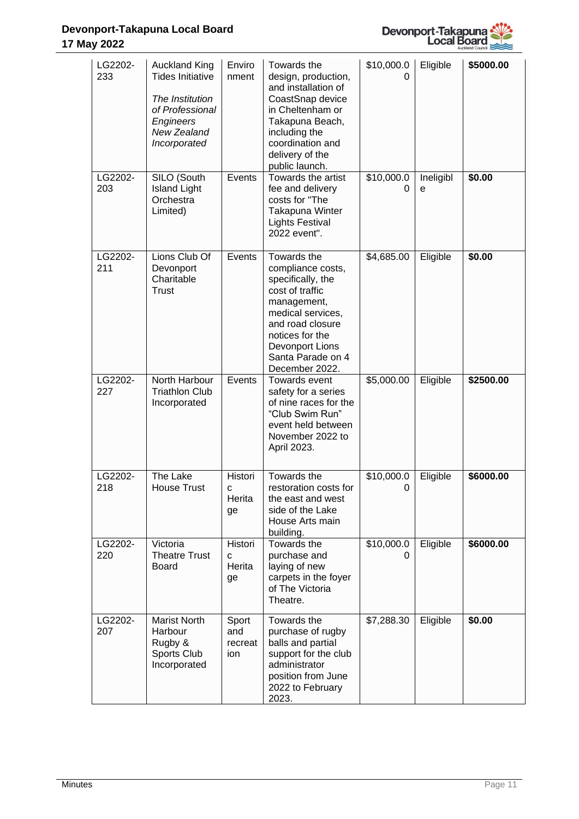# **Devonport-Takapuna Local Board 17 May 2022**



| LG2202-<br>233 | <b>Auckland King</b><br><b>Tides Initiative</b><br>The Institution<br>of Professional<br>Engineers<br>New Zealand<br>Incorporated | Enviro<br>nment                | Towards the<br>design, production,<br>and installation of<br>CoastSnap device<br>in Cheltenham or<br>Takapuna Beach,<br>including the<br>coordination and<br>delivery of the<br>public launch.                | \$10,000.0<br>0 | Eligible       | \$5000.00 |
|----------------|-----------------------------------------------------------------------------------------------------------------------------------|--------------------------------|---------------------------------------------------------------------------------------------------------------------------------------------------------------------------------------------------------------|-----------------|----------------|-----------|
| LG2202-<br>203 | SILO (South<br><b>Island Light</b><br>Orchestra<br>Limited)                                                                       | Events                         | Towards the artist<br>fee and delivery<br>costs for "The<br>Takapuna Winter<br><b>Lights Festival</b><br>2022 event".                                                                                         | \$10,000.0<br>0 | Ineligibl<br>e | \$0.00    |
| LG2202-<br>211 | Lions Club Of<br>Devonport<br>Charitable<br>Trust                                                                                 | Events                         | Towards the<br>compliance costs,<br>specifically, the<br>cost of traffic<br>management,<br>medical services,<br>and road closure<br>notices for the<br>Devonport Lions<br>Santa Parade on 4<br>December 2022. | \$4,685.00      | Eligible       | \$0.00    |
| LG2202-<br>227 | North Harbour<br><b>Triathlon Club</b><br>Incorporated                                                                            | Events                         | Towards event<br>safety for a series<br>of nine races for the<br>"Club Swim Run"<br>event held between<br>November 2022 to<br>April 2023.                                                                     | \$5,000.00      | Eligible       | \$2500.00 |
| LG2202-<br>218 | The Lake<br><b>House Trust</b>                                                                                                    | Histori<br>С<br>Herita<br>ge   | Towards the<br>restoration costs for<br>the east and west<br>side of the Lake<br>House Arts main<br>building.                                                                                                 | \$10,000.0<br>0 | Eligible       | \$6000.00 |
| LG2202-<br>220 | Victoria<br><b>Theatre Trust</b><br>Board                                                                                         | Histori<br>C<br>Herita<br>ge   | Towards the<br>purchase and<br>laying of new<br>carpets in the foyer<br>of The Victoria<br>Theatre.                                                                                                           | \$10,000.0<br>0 | Eligible       | \$6000.00 |
| LG2202-<br>207 | Marist North<br>Harbour<br>Rugby &<br>Sports Club<br>Incorporated                                                                 | Sport<br>and<br>recreat<br>ion | Towards the<br>purchase of rugby<br>balls and partial<br>support for the club<br>administrator<br>position from June<br>2022 to February<br>2023.                                                             | \$7,288.30      | Eligible       | \$0.00    |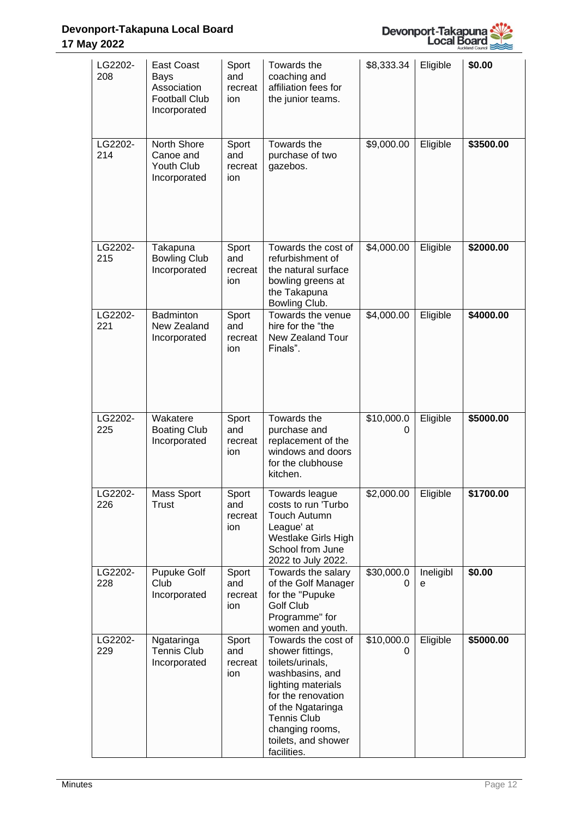

| LG2202-<br>208 | East Coast<br>Bays<br>Association<br><b>Football Club</b><br>Incorporated | Sport<br>and<br>recreat<br>ion | Towards the<br>coaching and<br>affiliation fees for<br>the junior teams.                                                                                                                                                       | \$8,333.34      | Eligible       | \$0.00    |
|----------------|---------------------------------------------------------------------------|--------------------------------|--------------------------------------------------------------------------------------------------------------------------------------------------------------------------------------------------------------------------------|-----------------|----------------|-----------|
| LG2202-<br>214 | North Shore<br>Canoe and<br>Youth Club<br>Incorporated                    | Sport<br>and<br>recreat<br>ion | Towards the<br>purchase of two<br>gazebos.                                                                                                                                                                                     | \$9,000.00      | Eligible       | \$3500.00 |
| LG2202-<br>215 | Takapuna<br><b>Bowling Club</b><br>Incorporated                           | Sport<br>and<br>recreat<br>ion | Towards the cost of<br>refurbishment of<br>the natural surface<br>bowling greens at<br>the Takapuna<br>Bowling Club.                                                                                                           | \$4,000.00      | Eligible       | \$2000.00 |
| LG2202-<br>221 | Badminton<br>New Zealand<br>Incorporated                                  | Sport<br>and<br>recreat<br>ion | Towards the venue<br>hire for the "the<br>New Zealand Tour<br>Finals".                                                                                                                                                         | \$4,000.00      | Eligible       | \$4000.00 |
| LG2202-<br>225 | Wakatere<br><b>Boating Club</b><br>Incorporated                           | Sport<br>and<br>recreat<br>ion | Towards the<br>purchase and<br>replacement of the<br>windows and doors<br>for the clubhouse<br>kitchen.                                                                                                                        | \$10,000.0<br>0 | Eligible       | \$5000.00 |
| LG2202-<br>226 | Mass Sport<br>Trust                                                       | Sport<br>and<br>recreat<br>ion | Towards league<br>costs to run 'Turbo<br><b>Touch Autumn</b><br>League' at<br>Westlake Girls High<br>School from June<br>2022 to July 2022.                                                                                    | \$2,000.00      | Eligible       | \$1700.00 |
| LG2202-<br>228 | Pupuke Golf<br>Club<br>Incorporated                                       | Sport<br>and<br>recreat<br>ion | Towards the salary<br>of the Golf Manager<br>for the "Pupuke<br><b>Golf Club</b><br>Programme" for<br>women and youth.                                                                                                         | \$30,000.0<br>0 | Ineligibl<br>е | \$0.00    |
| LG2202-<br>229 | Ngataringa<br>Tennis Club<br>Incorporated                                 | Sport<br>and<br>recreat<br>ion | Towards the cost of<br>shower fittings,<br>toilets/urinals,<br>washbasins, and<br>lighting materials<br>for the renovation<br>of the Ngataringa<br><b>Tennis Club</b><br>changing rooms,<br>toilets, and shower<br>facilities. | \$10,000.0<br>0 | Eligible       | \$5000.00 |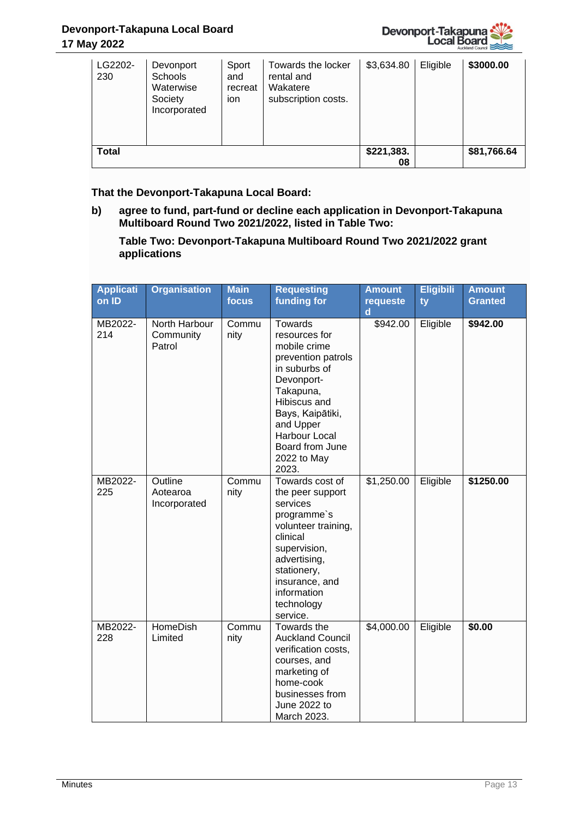

| LG2202-<br>230 | Devonport<br><b>Schools</b><br>Waterwise<br>Society<br>Incorporated | Sport<br>and<br>recreat<br>ion | Towards the locker<br>rental and<br>Wakatere<br>subscription costs. | \$3,634.80       | Eligible | \$3000.00   |
|----------------|---------------------------------------------------------------------|--------------------------------|---------------------------------------------------------------------|------------------|----------|-------------|
| <b>Total</b>   |                                                                     |                                |                                                                     | \$221,383.<br>08 |          | \$81,766.64 |

**That the Devonport-Takapuna Local Board:**

**b) agree to fund, part-fund or decline each application in Devonport-Takapuna Multiboard Round Two 2021/2022, listed in Table Two:**

**Table Two: Devonport-Takapuna Multiboard Round Two 2021/2022 grant applications**

| <b>Applicati</b><br>on ID | <b>Organisation</b>                  | <b>Main</b><br>focus | <b>Requesting</b><br>funding for                                                                                                                                                                                        | <b>Amount</b><br>requeste<br>d | <b>Eligibili</b><br>ty | <b>Amount</b><br><b>Granted</b> |
|---------------------------|--------------------------------------|----------------------|-------------------------------------------------------------------------------------------------------------------------------------------------------------------------------------------------------------------------|--------------------------------|------------------------|---------------------------------|
| MB2022-<br>214            | North Harbour<br>Community<br>Patrol | Commu<br>nity        | Towards<br>resources for<br>mobile crime<br>prevention patrols<br>in suburbs of<br>Devonport-<br>Takapuna,<br>Hibiscus and<br>Bays, Kaipātiki,<br>and Upper<br>Harbour Local<br>Board from June<br>2022 to May<br>2023. | \$942.00                       | Eligible               | \$942.00                        |
| MB2022-<br>225            | Outline<br>Aotearoa<br>Incorporated  | Commu<br>nity        | Towards cost of<br>the peer support<br>services<br>programme's<br>volunteer training,<br>clinical<br>supervision,<br>advertising,<br>stationery,<br>insurance, and<br>information<br>technology<br>service.             | \$1,250.00                     | Eligible               | \$1250.00                       |
| MB2022-<br>228            | <b>HomeDish</b><br>Limited           | Commu<br>nity        | Towards the<br><b>Auckland Council</b><br>verification costs,<br>courses, and<br>marketing of<br>home-cook<br>businesses from<br>June 2022 to<br>March 2023.                                                            | \$4,000.00                     | Eligible               | \$0.00                          |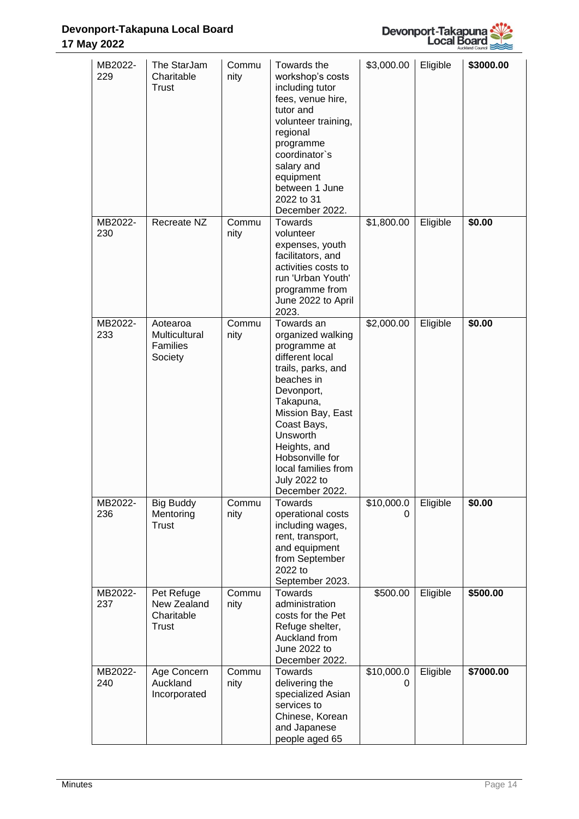

| MB2022-<br>229 | The StarJam<br>Charitable<br>Trust                      | Commu<br>nity | Towards the<br>workshop's costs<br>including tutor<br>fees, venue hire,<br>tutor and<br>volunteer training,<br>regional<br>programme<br>coordinator`s<br>salary and<br>equipment<br>between 1 June<br>2022 to 31<br>December 2022.                                                   | \$3,000.00      | Eligible | \$3000.00 |
|----------------|---------------------------------------------------------|---------------|--------------------------------------------------------------------------------------------------------------------------------------------------------------------------------------------------------------------------------------------------------------------------------------|-----------------|----------|-----------|
| MB2022-<br>230 | Recreate NZ                                             | Commu<br>nity | Towards<br>volunteer<br>expenses, youth<br>facilitators, and<br>activities costs to<br>run 'Urban Youth'<br>programme from<br>June 2022 to April<br>2023.                                                                                                                            | \$1,800.00      | Eligible | \$0.00    |
| MB2022-<br>233 | Aotearoa<br>Multicultural<br><b>Families</b><br>Society | Commu<br>nity | Towards an<br>organized walking<br>programme at<br>different local<br>trails, parks, and<br>beaches in<br>Devonport,<br>Takapuna,<br>Mission Bay, East<br>Coast Bays,<br>Unsworth<br>Heights, and<br>Hobsonville for<br>local families from<br><b>July 2022 to</b><br>December 2022. | \$2,000.00      | Eligible | \$0.00    |
| MB2022-<br>236 | <b>Big Buddy</b><br>Mentoring<br>Trust                  | Commu<br>nity | Towards<br>operational costs<br>including wages,<br>rent, transport,<br>and equipment<br>from September<br>2022 to<br>September 2023.                                                                                                                                                | \$10,000.0<br>0 | Eligible | \$0.00    |
| MB2022-<br>237 | Pet Refuge<br>New Zealand<br>Charitable<br>Trust        | Commu<br>nity | Towards<br>administration<br>costs for the Pet<br>Refuge shelter,<br>Auckland from<br>June 2022 to<br>December 2022.                                                                                                                                                                 | \$500.00        | Eligible | \$500.00  |
| MB2022-<br>240 | Age Concern<br>Auckland<br>Incorporated                 | Commu<br>nity | Towards<br>delivering the<br>specialized Asian<br>services to<br>Chinese, Korean<br>and Japanese<br>people aged 65                                                                                                                                                                   | \$10,000.0<br>0 | Eligible | \$7000.00 |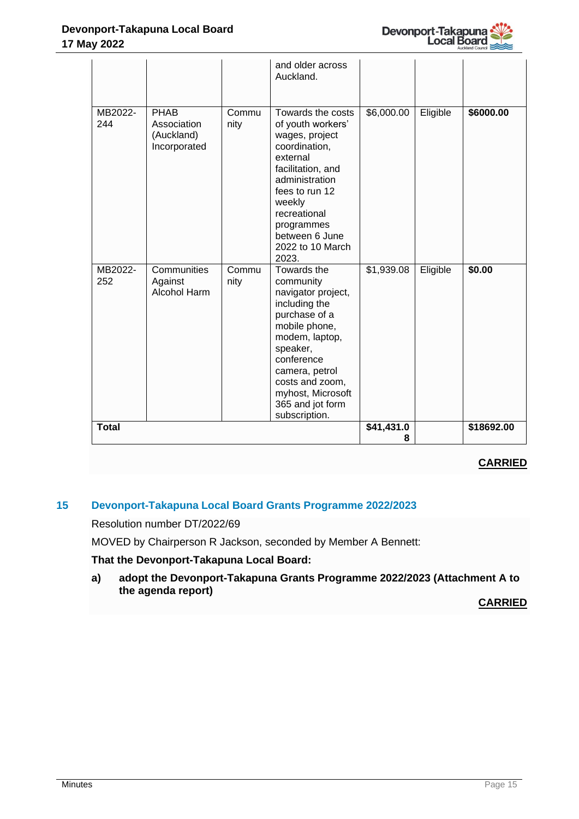

|                |                                                          |               | and older across<br>Auckland.                                                                                                                                                                                                                |                 |          |            |
|----------------|----------------------------------------------------------|---------------|----------------------------------------------------------------------------------------------------------------------------------------------------------------------------------------------------------------------------------------------|-----------------|----------|------------|
| MB2022-<br>244 | <b>PHAB</b><br>Association<br>(Auckland)<br>Incorporated | Commu<br>nity | Towards the costs<br>of youth workers'<br>wages, project<br>coordination,<br>external<br>facilitation, and<br>administration<br>fees to run 12<br>weekly<br>recreational<br>programmes<br>between 6 June<br>2022 to 10 March<br>2023.        | \$6,000.00      | Eligible | \$6000.00  |
| MB2022-<br>252 | Communities<br>Against<br><b>Alcohol Harm</b>            | Commu<br>nity | Towards the<br>community<br>navigator project,<br>including the<br>purchase of a<br>mobile phone,<br>modem, laptop,<br>speaker,<br>conference<br>camera, petrol<br>costs and zoom,<br>myhost, Microsoft<br>365 and jot form<br>subscription. | \$1,939.08      | Eligible | \$0.00     |
| <b>Total</b>   |                                                          |               |                                                                                                                                                                                                                                              | \$41,431.0<br>8 |          | \$18692.00 |

# **CARRIED**

# **15 Devonport-Takapuna Local Board Grants Programme 2022/2023**

Resolution number DT/2022/69

MOVED by Chairperson R Jackson, seconded by Member A Bennett:

# **That the Devonport-Takapuna Local Board:**

**a) adopt the Devonport-Takapuna Grants Programme 2022/2023 (Attachment A to the agenda report)** 

# **CARRIED**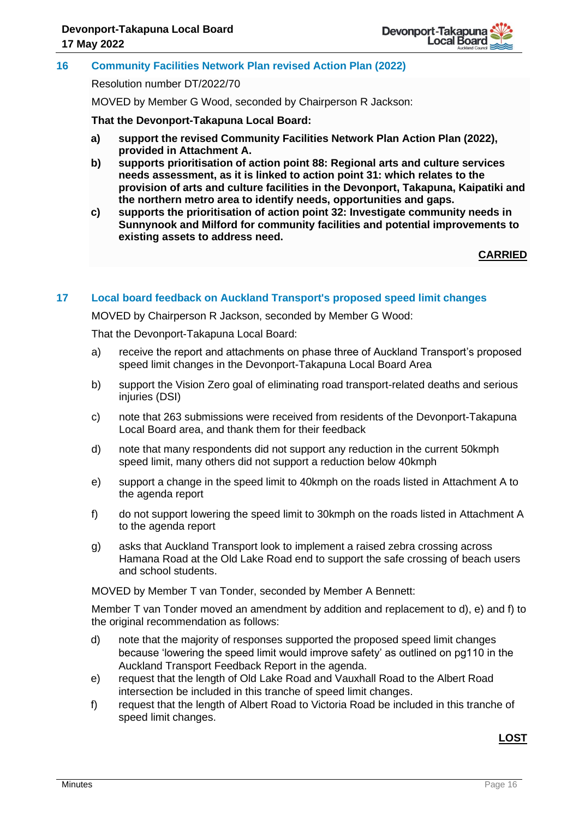

# **16 Community Facilities Network Plan revised Action Plan (2022)**

Resolution number DT/2022/70

MOVED by Member G Wood, seconded by Chairperson R Jackson:

**That the Devonport-Takapuna Local Board:**

- **a) support the revised Community Facilities Network Plan Action Plan (2022), provided in Attachment A.**
- **b) supports prioritisation of action point 88: Regional arts and culture services needs assessment, as it is linked to action point 31: which relates to the provision of arts and culture facilities in the Devonport, Takapuna, Kaipatiki and the northern metro area to identify needs, opportunities and gaps.**
- **c) supports the prioritisation of action point 32: Investigate community needs in Sunnynook and Milford for community facilities and potential improvements to existing assets to address need.**

**CARRIED**

#### **17 Local board feedback on Auckland Transport's proposed speed limit changes**

MOVED by Chairperson R Jackson, seconded by Member G Wood:

That the Devonport-Takapuna Local Board:

- a) receive the report and attachments on phase three of Auckland Transport's proposed speed limit changes in the Devonport-Takapuna Local Board Area
- b) support the Vision Zero goal of eliminating road transport-related deaths and serious injuries (DSI)
- c) note that 263 submissions were received from residents of the Devonport-Takapuna Local Board area, and thank them for their feedback
- d) note that many respondents did not support any reduction in the current 50kmph speed limit, many others did not support a reduction below 40kmph
- e) support a change in the speed limit to 40kmph on the roads listed in Attachment A to the agenda report
- f) do not support lowering the speed limit to 30kmph on the roads listed in Attachment A to the agenda report
- g) asks that Auckland Transport look to implement a raised zebra crossing across Hamana Road at the Old Lake Road end to support the safe crossing of beach users and school students.

MOVED by Member T van Tonder, seconded by Member A Bennett:

Member T van Tonder moved an amendment by addition and replacement to d), e) and f) to the original recommendation as follows:

- d) note that the majority of responses supported the proposed speed limit changes because 'lowering the speed limit would improve safety' as outlined on pg110 in the Auckland Transport Feedback Report in the agenda.
- e) request that the length of Old Lake Road and Vauxhall Road to the Albert Road intersection be included in this tranche of speed limit changes.
- f) request that the length of Albert Road to Victoria Road be included in this tranche of speed limit changes.

**LOST**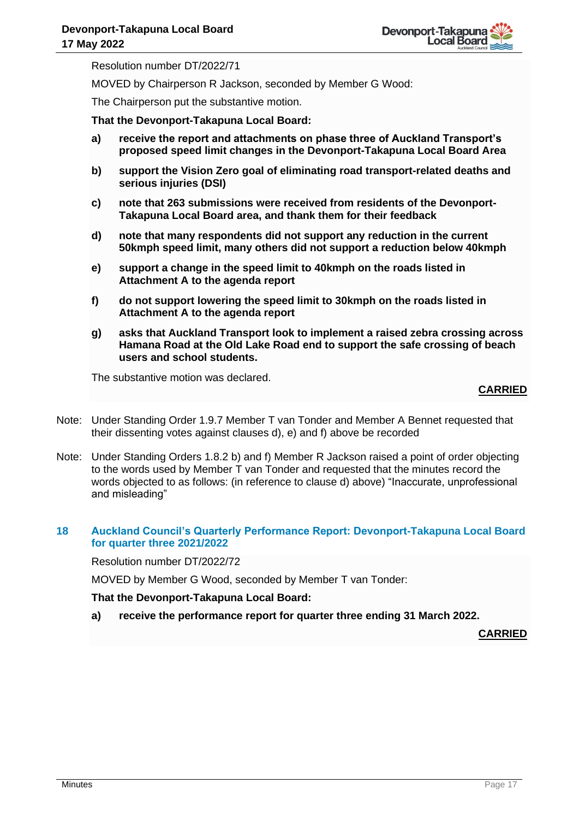Resolution number DT/2022/71

MOVED by Chairperson R Jackson, seconded by Member G Wood:

The Chairperson put the substantive motion.

**That the Devonport-Takapuna Local Board:**

- **a) receive the report and attachments on phase three of Auckland Transport's proposed speed limit changes in the Devonport-Takapuna Local Board Area**
- **b) support the Vision Zero goal of eliminating road transport-related deaths and serious injuries (DSI)**
- **c) note that 263 submissions were received from residents of the Devonport-Takapuna Local Board area, and thank them for their feedback**
- **d) note that many respondents did not support any reduction in the current 50kmph speed limit, many others did not support a reduction below 40kmph**
- **e) support a change in the speed limit to 40kmph on the roads listed in Attachment A to the agenda report**
- **f) do not support lowering the speed limit to 30kmph on the roads listed in Attachment A to the agenda report**
- **g) asks that Auckland Transport look to implement a raised zebra crossing across Hamana Road at the Old Lake Road end to support the safe crossing of beach users and school students.**

The substantive motion was declared.

# **CARRIED**

- Note: Under Standing Order 1.9.7 Member T van Tonder and Member A Bennet requested that their dissenting votes against clauses d), e) and f) above be recorded
- Note: Under Standing Orders 1.8.2 b) and f) Member R Jackson raised a point of order objecting to the words used by Member T van Tonder and requested that the minutes record the words objected to as follows: (in reference to clause d) above) "Inaccurate, unprofessional and misleading"

#### **18 Auckland Council's Quarterly Performance Report: Devonport-Takapuna Local Board for quarter three 2021/2022**

Resolution number DT/2022/72

MOVED by Member G Wood, seconded by Member T van Tonder:

**That the Devonport-Takapuna Local Board:**

**a) receive the performance report for quarter three ending 31 March 2022.**

**CARRIED**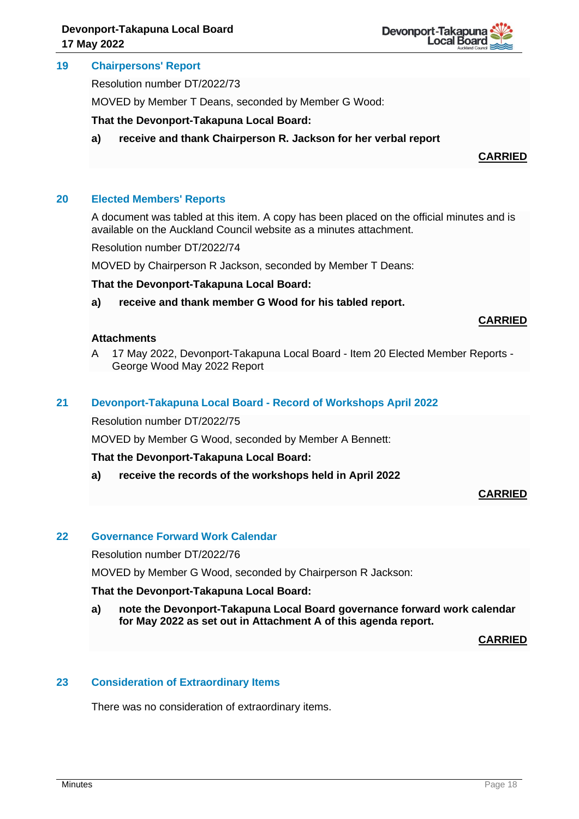

#### **19 Chairpersons' Report**

Resolution number DT/2022/73

MOVED by Member T Deans, seconded by Member G Wood:

**That the Devonport-Takapuna Local Board:**

**a) receive and thank Chairperson R. Jackson for her verbal report**

#### **CARRIED**

#### **20 Elected Members' Reports**

A document was tabled at this item. A copy has been placed on the official minutes and is available on the Auckland Council website as a minutes attachment.

Resolution number DT/2022/74

MOVED by Chairperson R Jackson, seconded by Member T Deans:

#### **That the Devonport-Takapuna Local Board:**

**a) receive and thank member G Wood for his tabled report.**

#### **CARRIED**

# **Attachments**

A 17 May 2022, Devonport-Takapuna Local Board - Item 20 Elected Member Reports - George Wood May 2022 Report

### **21 Devonport-Takapuna Local Board - Record of Workshops April 2022**

Resolution number DT/2022/75

MOVED by Member G Wood, seconded by Member A Bennett:

**That the Devonport-Takapuna Local Board:**

**a) receive the records of the workshops held in April 2022**

#### **CARRIED**

#### **22 Governance Forward Work Calendar**

Resolution number DT/2022/76

MOVED by Member G Wood, seconded by Chairperson R Jackson:

#### **That the Devonport-Takapuna Local Board:**

**a) note the Devonport-Takapuna Local Board governance forward work calendar for May 2022 as set out in Attachment A of this agenda report.**

**CARRIED**

#### **23 Consideration of Extraordinary Items**

There was no consideration of extraordinary items.